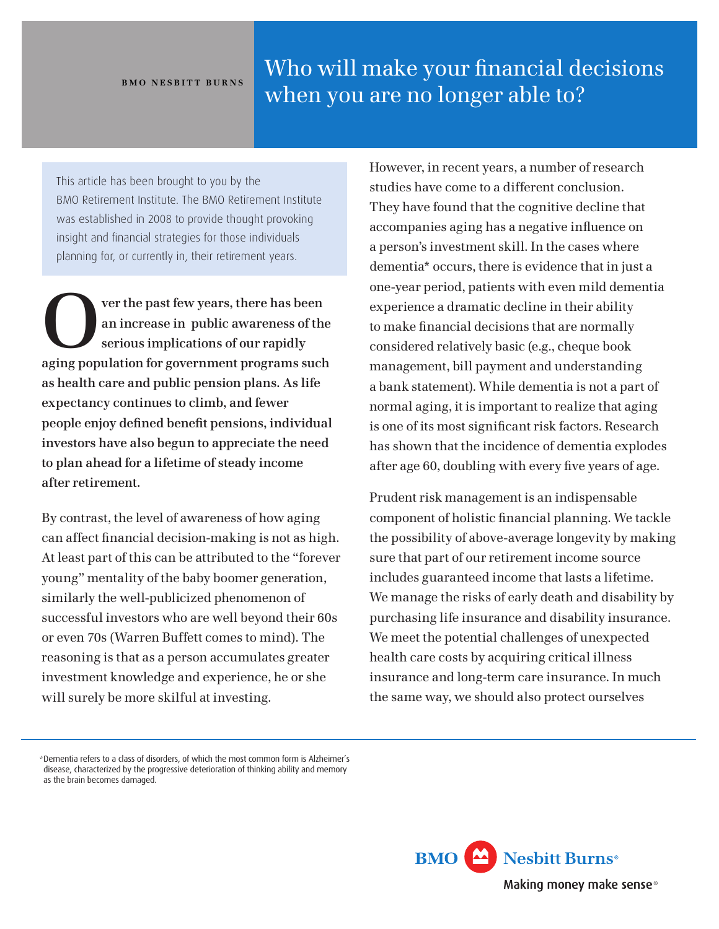## **BMO NesBitt BurNs**

## Who will make your financial decisions when you are no longer able to?

This article has been brought to you by the BMO Retirement Institute. The BMO Retirement Institute was established in 2008 to provide thought provoking insight and financial strategies for those individuals planning for, or currently in, their retirement years.

**Over the past few years, there has been an increase in public awareness of the serious implications of our rapidly aging population for government programs such as health care and public pension plans. As life expectancy continues to climb, and fewer people enjoy defined benefit pensions, individual investors have also begun to appreciate the need to plan ahead for a lifetime of steady income after retirement.**

By contrast, the level of awareness of how aging can affect financial decision-making is not as high. At least part of this can be attributed to the "forever young" mentality of the baby boomer generation, similarly the well-publicized phenomenon of successful investors who are well beyond their 60s or even 70s (Warren Buffett comes to mind). The reasoning is that as a person accumulates greater investment knowledge and experience, he or she will surely be more skilful at investing.

However, in recent years, a number of research studies have come to a different conclusion. They have found that the cognitive decline that accompanies aging has a negative influence on a person's investment skill. In the cases where dementia\* occurs, there is evidence that in just a one-year period, patients with even mild dementia experience a dramatic decline in their ability to make financial decisions that are normally considered relatively basic (e.g., cheque book management, bill payment and understanding a bank statement). While dementia is not a part of normal aging, it is important to realize that aging is one of its most significant risk factors. Research has shown that the incidence of dementia explodes after age 60, doubling with every five years of age.

Prudent risk management is an indispensable component of holistic financial planning. We tackle the possibility of above-average longevity by making sure that part of our retirement income source includes guaranteed income that lasts a lifetime. We manage the risks of early death and disability by purchasing life insurance and disability insurance. We meet the potential challenges of unexpected health care costs by acquiring critical illness insurance and long-term care insurance. In much the same way, we should also protect ourselves



<sup>\*</sup>Dementia referstoaclassofdisorders,ofwhichthemostcommonformisAlzheimer's disease, characterized by the progressive deterioration of thinking ability and memory as the brain becomes damaged.